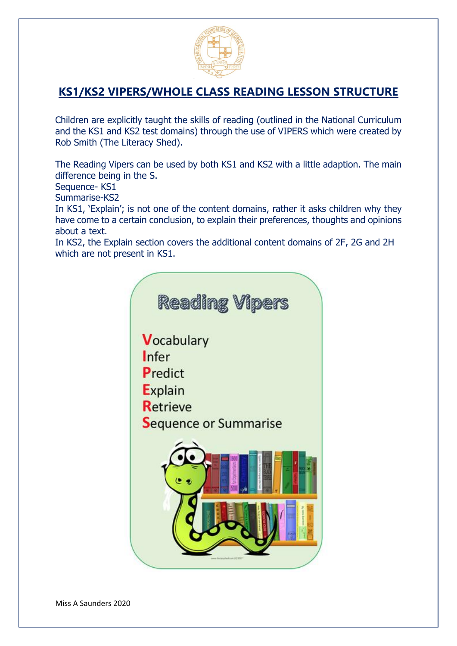

# **KS1/KS2 VIPERS/WHOLE CLASS READING LESSON STRUCTURE**

Children are explicitly taught the skills of reading (outlined in the National Curriculum and the KS1 and KS2 test domains) through the use of VIPERS which were created by Rob Smith (The Literacy Shed).

The Reading Vipers can be used by both KS1 and KS2 with a little adaption. The main difference being in the S.

Sequence- KS1

Summarise-KS2

In KS1, 'Explain'; is not one of the content domains, rather it asks children why they have come to a certain conclusion, to explain their preferences, thoughts and opinions about a text.

In KS2, the Explain section covers the additional content domains of 2F, 2G and 2H which are not present in KS1.

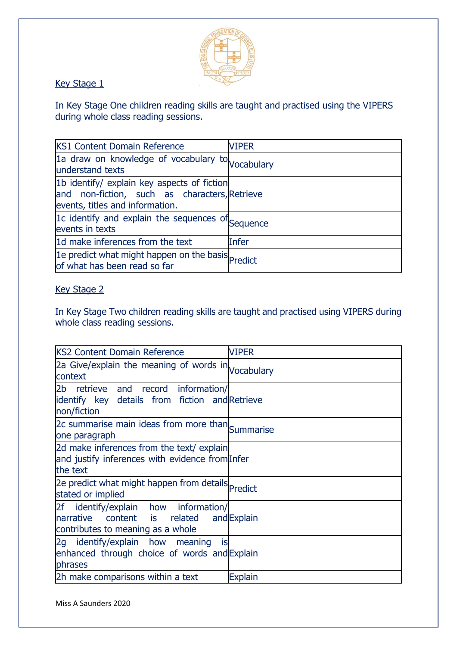

Key Stage 1

In Key Stage One children reading skills are taught and practised using the VIPERS during whole class reading sessions.

| <b>KS1 Content Domain Reference</b>                                                                                             | <b>VIPER</b> |
|---------------------------------------------------------------------------------------------------------------------------------|--------------|
| 1a draw on knowledge of vocabulary to Vocabulary<br>understand texts                                                            |              |
| 1b identify/ explain key aspects of fiction<br>and non-fiction, such as characters, Retrieve<br>events, titles and information. |              |
| 1c identify and explain the sequences of Sequence<br>events in texts                                                            |              |
| 1d make inferences from the text                                                                                                | Infer        |
| 1e predict what might happen on the basis Predict<br>of what has been read so far                                               |              |

## Key Stage 2

In Key Stage Two children reading skills are taught and practised using VIPERS during whole class reading sessions.

| <b>KS2 Content Domain Reference</b>                                                                                             | <b>VIPER</b>   |
|---------------------------------------------------------------------------------------------------------------------------------|----------------|
| 2a Give/explain the meaning of words in Vocabulary<br>context                                                                   |                |
| retrieve and record information/<br>2b<br>identify key details from fiction and Retrieve<br>non/fiction                         |                |
| 2c summarise main ideas from more than Summarise<br>one paragraph                                                               |                |
| 2d make inferences from the text/ explain<br>and justify inferences with evidence from Infer<br>the text                        |                |
| 2e predict what might happen from details Predict<br>stated or implied                                                          |                |
| 2f identify/explain how information/<br><b>narrative</b><br>content is related and Explain<br>contributes to meaning as a whole |                |
| 2g identify/explain how meaning<br>İS<br>enhanced through choice of words and Explain<br>phrases                                |                |
| 2h make comparisons within a text                                                                                               | <b>Explain</b> |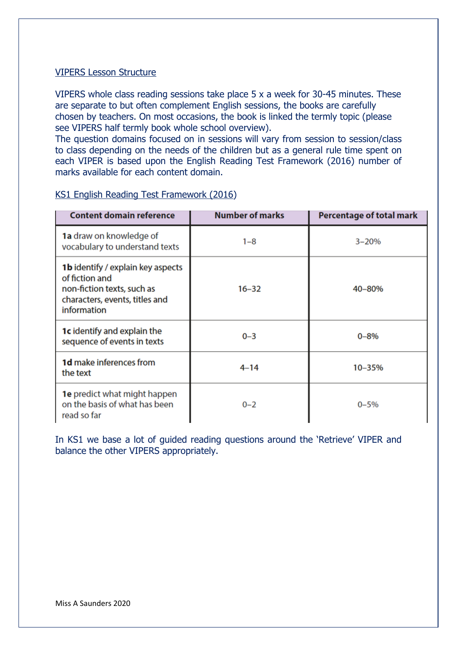### VIPERS Lesson Structure

VIPERS whole class reading sessions take place 5 x a week for 30-45 minutes. These are separate to but often complement English sessions, the books are carefully chosen by teachers. On most occasions, the book is linked the termly topic (please see VIPERS half termly book whole school overview).

The question domains focused on in sessions will vary from session to session/class to class depending on the needs of the children but as a general rule time spent on each VIPER is based upon the English Reading Test Framework (2016) number of marks available for each content domain.

| <b>Content domain reference</b>                                                                                                    | <b>Number of marks</b> | <b>Percentage of total mark</b> |
|------------------------------------------------------------------------------------------------------------------------------------|------------------------|---------------------------------|
| 1a draw on knowledge of<br>vocabulary to understand texts                                                                          | $1 - 8$                | $3 - 20%$                       |
| 1b identify / explain key aspects<br>of fiction and<br>non-fiction texts, such as<br>characters, events, titles and<br>information | $16 - 32$              | 40-80%                          |
| <b>1c</b> identify and explain the<br>sequence of events in texts                                                                  | $0 - 3$                | $0 - 8\%$                       |
| <b>1d</b> make inferences from<br>the text                                                                                         | $4 - 14$               | 10-35%                          |
| <b>1e</b> predict what might happen<br>on the basis of what has been<br>read so far                                                | $0 - 2$                | $0 - 5%$                        |

### KS1 English Reading Test Framework (2016)

In KS1 we base a lot of guided reading questions around the 'Retrieve' VIPER and balance the other VIPERS appropriately.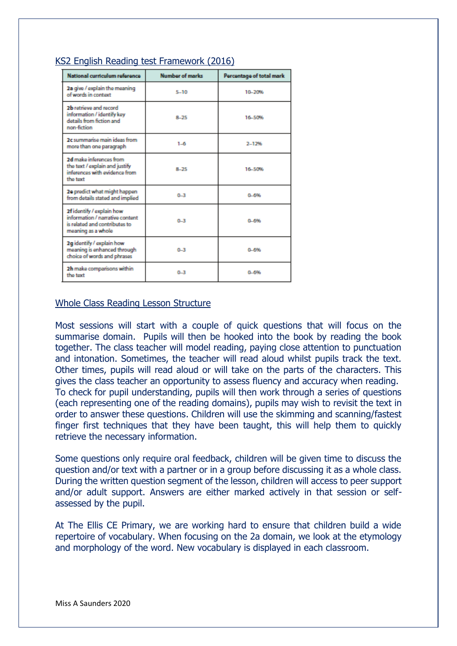| National curriculum reference                                                                                       | <b>Number of marks</b> | Percentage of total mark |
|---------------------------------------------------------------------------------------------------------------------|------------------------|--------------------------|
| 2a give / explain the meaning<br>of words in context                                                                | $5 - 10$               | 10-20%                   |
| 2b retrieve and record<br>information / identify key<br>details from fiction and<br>non-fiction                     | $8 - 75$               | 16-50%                   |
| 2c summarise main ideas from<br>more than one paragraph                                                             | $1 - 6$                | $2 - 12%$                |
| 2d make inforences from<br>the text / explain and justify<br>inferences with evidence from<br>the text              | $8 - 75$               | 16-50%                   |
| 2e predict what might happen<br>from details stated and implied                                                     | $0 - 3$                | 0-6%                     |
| 2f identify / explain how<br>information / narrative content<br>is related and contributes to<br>meaning as a whole | $0-3$                  | 0.6%                     |
| 2g identify / explain how<br>meaning is enhanced through<br>choice of words and phrases                             | $0 - 3$                | $0 - 696$                |
| 2h make comparisons within<br>the text                                                                              | $0-3$                  | 0.6%                     |

### KS2 English Reading test Framework (2016)

#### Whole Class Reading Lesson Structure

Most sessions will start with a couple of quick questions that will focus on the summarise domain. Pupils will then be hooked into the book by reading the book together. The class teacher will model reading, paying close attention to punctuation and intonation. Sometimes, the teacher will read aloud whilst pupils track the text. Other times, pupils will read aloud or will take on the parts of the characters. This gives the class teacher an opportunity to assess fluency and accuracy when reading. To check for pupil understanding, pupils will then work through a series of questions (each representing one of the reading domains), pupils may wish to revisit the text in order to answer these questions. Children will use the skimming and scanning/fastest finger first techniques that they have been taught, this will help them to quickly retrieve the necessary information.

Some questions only require oral feedback, children will be given time to discuss the question and/or text with a partner or in a group before discussing it as a whole class. During the written question segment of the lesson, children will access to peer support and/or adult support. Answers are either marked actively in that session or selfassessed by the pupil.

At The Ellis CE Primary, we are working hard to ensure that children build a wide repertoire of vocabulary. When focusing on the 2a domain, we look at the etymology and morphology of the word. New vocabulary is displayed in each classroom.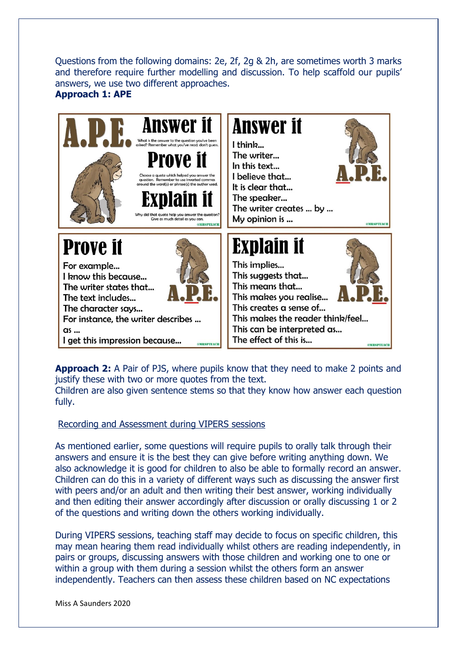Questions from the following domains: 2e, 2f, 2g & 2h, are sometimes worth 3 marks and therefore require further modelling and discussion. To help scaffold our pupils' answers, we use two different approaches. **Approach 1: APE**



**Approach 2:** A Pair of PJS, where pupils know that they need to make 2 points and justify these with two or more quotes from the text.

Children are also given sentence stems so that they know how answer each question fully.

Recording and Assessment during VIPERS sessions

As mentioned earlier, some questions will require pupils to orally talk through their answers and ensure it is the best they can give before writing anything down. We also acknowledge it is good for children to also be able to formally record an answer. Children can do this in a variety of different ways such as discussing the answer first with peers and/or an adult and then writing their best answer, working individually and then editing their answer accordingly after discussion or orally discussing 1 or 2 of the questions and writing down the others working individually.

During VIPERS sessions, teaching staff may decide to focus on specific children, this may mean hearing them read individually whilst others are reading independently, in pairs or groups, discussing answers with those children and working one to one or within a group with them during a session whilst the others form an answer independently. Teachers can then assess these children based on NC expectations